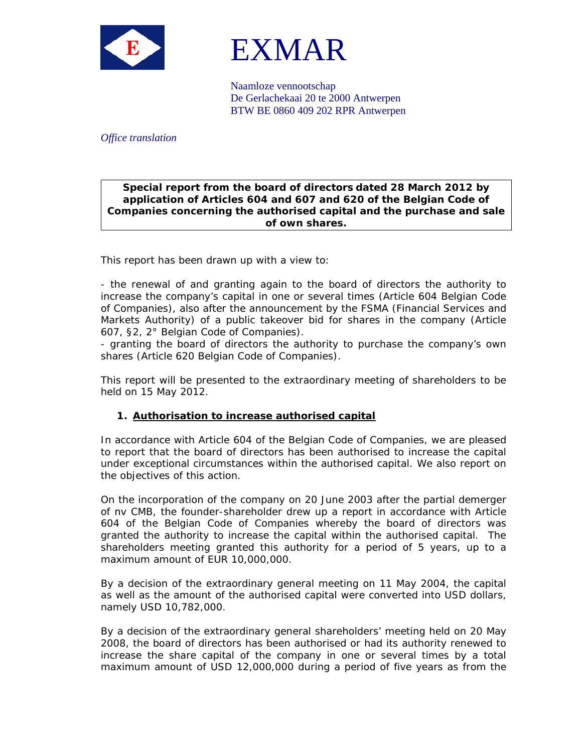



Naamloze vennootschap De Gerlachekaai 20 te 2000 Antwerpen BTW BE 0860 409 202 RPR Antwerpen

## *Office translation*

## **Special report from the board of directors dated 28 March 2012 by application of Articles 604 and 607 and 620 of the Belgian Code of Companies concerning the authorised capital and the purchase and sale of own shares.**

This report has been drawn up with a view to:

- the renewal of and granting again to the board of directors the authority to increase the company's capital in one or several times (Article 604 Belgian Code of Companies), also after the announcement by the FSMA (Financial Services and Markets Authority) of a public takeover bid for shares in the company (Article 607, §2, 2° Belgian Code of Companies).

- granting the board of directors the authority to purchase the company's own shares (Article 620 Belgian Code of Companies).

This report will be presented to the extraordinary meeting of shareholders to be held on 15 May 2012.

## **1. Authorisation to increase authorised capital**

In accordance with Article 604 of the Belgian Code of Companies, we are pleased to report that the board of directors has been authorised to increase the capital under exceptional circumstances within the authorised capital. We also report on the objectives of this action.

On the incorporation of the company on 20 June 2003 after the partial demerger of nv CMB, the founder-shareholder drew up a report in accordance with Article 604 of the Belgian Code of Companies whereby the board of directors was granted the authority to increase the capital within the authorised capital. The shareholders meeting granted this authority for a period of 5 years, up to a maximum amount of EUR 10,000,000.

By a decision of the extraordinary general meeting on 11 May 2004, the capital as well as the amount of the authorised capital were converted into USD dollars, namely USD 10,782,000.

By a decision of the extraordinary general shareholders' meeting held on 20 May 2008, the board of directors has been authorised or had its authority renewed to increase the share capital of the company in one or several times by a total maximum amount of USD 12,000,000 during a period of five years as from the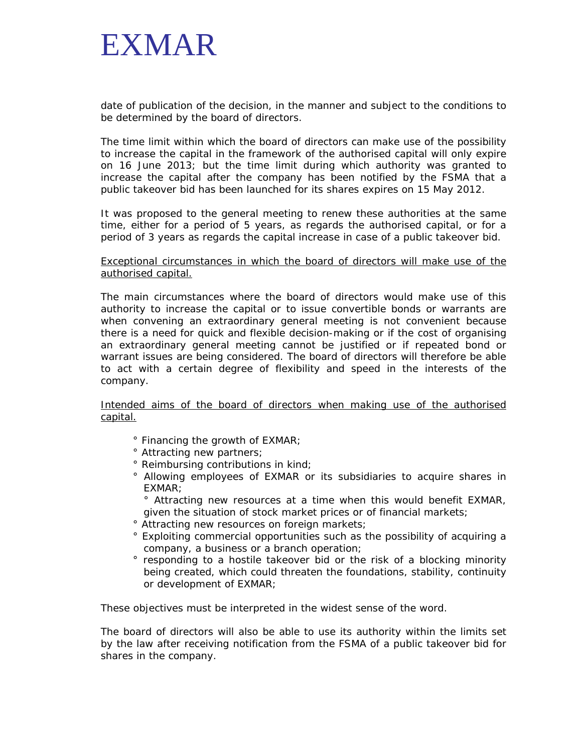

date of publication of the decision, in the manner and subject to the conditions to be determined by the board of directors.

The time limit within which the board of directors can make use of the possibility to increase the capital in the framework of the authorised capital will only expire on 16 June 2013; but the time limit during which authority was granted to increase the capital after the company has been notified by the FSMA that a public takeover bid has been launched for its shares expires on 15 May 2012.

It was proposed to the general meeting to renew these authorities at the same time, either for a period of 5 years, as regards the authorised capital, or for a period of 3 years as regards the capital increase in case of a public takeover bid.

Exceptional circumstances in which the board of directors will make use of the authorised capital.

The main circumstances where the board of directors would make use of this authority to increase the capital or to issue convertible bonds or warrants are when convening an extraordinary general meeting is not convenient because there is a need for quick and flexible decision-making or if the cost of organising an extraordinary general meeting cannot be justified or if repeated bond or warrant issues are being considered. The board of directors will therefore be able to act with a certain degree of flexibility and speed in the interests of the company.

Intended aims of the board of directors when making use of the authorised capital.

- ° Financing the growth of EXMAR;
- ° Attracting new partners;
- ° Reimbursing contributions in kind;
- ° Allowing employees of EXMAR or its subsidiaries to acquire shares in EXMAR;
- ° Attracting new resources at a time when this would benefit EXMAR, given the situation of stock market prices or of financial markets;
- ° Attracting new resources on foreign markets;
- ° Exploiting commercial opportunities such as the possibility of acquiring a company, a business or a branch operation;
- ° responding to a hostile takeover bid or the risk of a blocking minority being created, which could threaten the foundations, stability, continuity or development of EXMAR;

These objectives must be interpreted in the widest sense of the word.

The board of directors will also be able to use its authority within the limits set by the law after receiving notification from the FSMA of a public takeover bid for shares in the company.